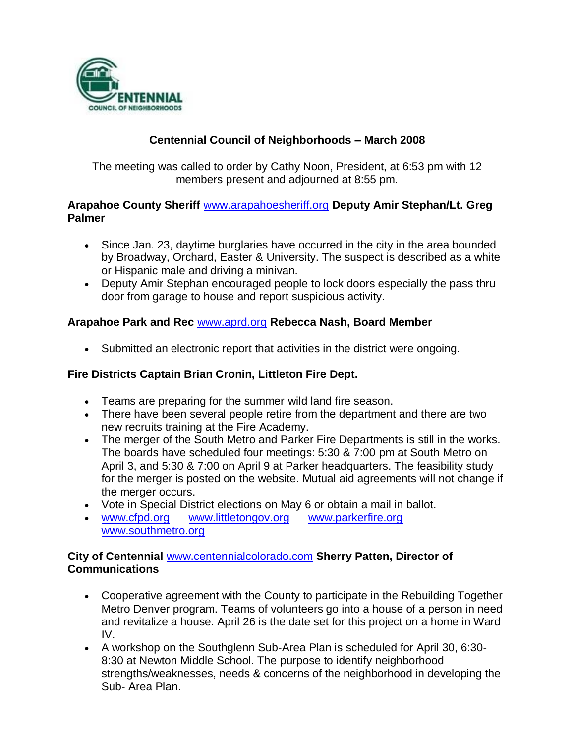

## **Centennial Council of Neighborhoods – March 2008**

The meeting was called to order by Cathy Noon, President, at 6:53 pm with 12 members present and adjourned at 8:55 pm.

## **Arapahoe County Sheriff** [www.arapahoesheriff.org](http://www.arapahoesheriff.org/) **Deputy Amir Stephan/Lt. Greg Palmer**

- Since Jan. 23, daytime burglaries have occurred in the city in the area bounded by Broadway, Orchard, Easter & University. The suspect is described as a white or Hispanic male and driving a minivan.
- Deputy Amir Stephan encouraged people to lock doors especially the pass thru door from garage to house and report suspicious activity.

## **Arapahoe Park and Rec** [www.aprd.org](http://www.aprd.org/) **Rebecca Nash, Board Member**

Submitted an electronic report that activities in the district were ongoing.

## **Fire Districts Captain Brian Cronin, Littleton Fire Dept.**

- Teams are preparing for the summer wild land fire season.
- There have been several people retire from the department and there are two new recruits training at the Fire Academy.
- The merger of the South Metro and Parker Fire Departments is still in the works. The boards have scheduled four meetings: 5:30 & 7:00 pm at South Metro on April 3, and 5:30 & 7:00 on April 9 at Parker headquarters. The feasibility study for the merger is posted on the website. Mutual aid agreements will not change if the merger occurs.
- Vote in Special District elections on May 6 or obtain a mail in ballot.
- [www.cfpd.org](http://www.cfpd.org/) [www.littletongov.org](http://www.littletongov.org/) [www.parkerfire.org](http://www.parkerfire.org/)  [www.southmetro.org](http://www.southmetro.org/)

## **City of Centennial** [www.centennialcolorado.com](http://www.centennialcolorado.com/) **Sherry Patten, Director of Communications**

- Cooperative agreement with the County to participate in the Rebuilding Together Metro Denver program. Teams of volunteers go into a house of a person in need and revitalize a house. April 26 is the date set for this project on a home in Ward IV.
- A workshop on the Southglenn Sub-Area Plan is scheduled for April 30, 6:30- 8:30 at Newton Middle School. The purpose to identify neighborhood strengths/weaknesses, needs & concerns of the neighborhood in developing the Sub- Area Plan.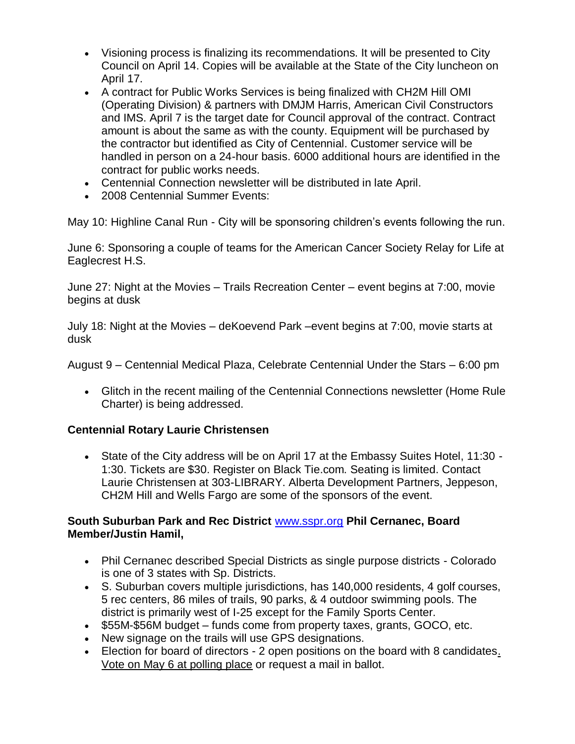- Visioning process is finalizing its recommendations. It will be presented to City Council on April 14. Copies will be available at the State of the City luncheon on April 17.
- A contract for Public Works Services is being finalized with CH2M Hill OMI (Operating Division) & partners with DMJM Harris, American Civil Constructors and IMS. April 7 is the target date for Council approval of the contract. Contract amount is about the same as with the county. Equipment will be purchased by the contractor but identified as City of Centennial. Customer service will be handled in person on a 24-hour basis. 6000 additional hours are identified in the contract for public works needs.
- Centennial Connection newsletter will be distributed in late April.
- 2008 Centennial Summer Events:

May 10: Highline Canal Run - City will be sponsoring children's events following the run.

June 6: Sponsoring a couple of teams for the American Cancer Society Relay for Life at Eaglecrest H.S.

June 27: Night at the Movies – Trails Recreation Center – event begins at 7:00, movie begins at dusk

July 18: Night at the Movies – deKoevend Park –event begins at 7:00, movie starts at dusk

August 9 – Centennial Medical Plaza, Celebrate Centennial Under the Stars – 6:00 pm

 Glitch in the recent mailing of the Centennial Connections newsletter (Home Rule Charter) is being addressed.

## **Centennial Rotary Laurie Christensen**

 State of the City address will be on April 17 at the Embassy Suites Hotel, 11:30 - 1:30. Tickets are \$30. Register on Black Tie.com. Seating is limited. Contact Laurie Christensen at 303-LIBRARY. Alberta Development Partners, Jeppeson, CH2M Hill and Wells Fargo are some of the sponsors of the event.

## **South Suburban Park and Rec District** [www.sspr.org](http://www.sspr.org/) **Phil Cernanec, Board Member/Justin Hamil,**

- Phil Cernanec described Special Districts as single purpose districts Colorado is one of 3 states with Sp. Districts.
- S. Suburban covers multiple jurisdictions, has 140,000 residents, 4 golf courses, 5 rec centers, 86 miles of trails, 90 parks, & 4 outdoor swimming pools. The district is primarily west of I-25 except for the Family Sports Center.
- \$55M-\$56M budget funds come from property taxes, grants, GOCO, etc.
- New signage on the trails will use GPS designations.
- Election for board of directors 2 open positions on the board with 8 candidates. Vote on May 6 at polling place or request a mail in ballot.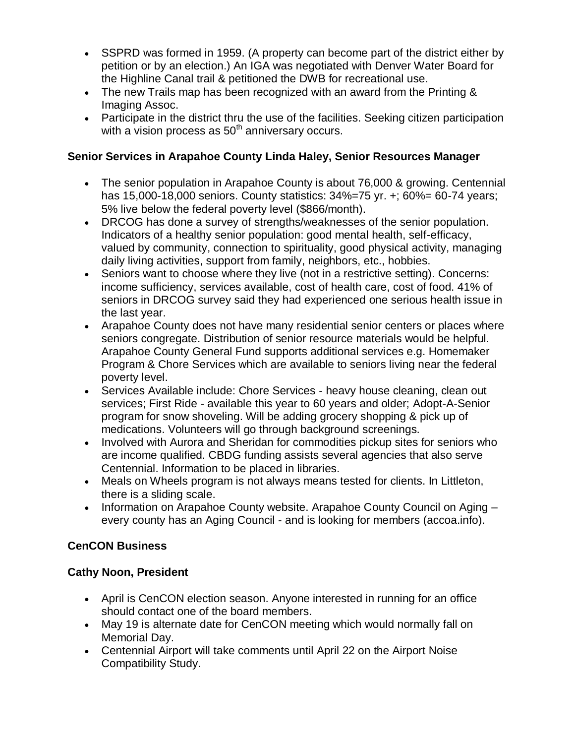- SSPRD was formed in 1959. (A property can become part of the district either by petition or by an election.) An IGA was negotiated with Denver Water Board for the Highline Canal trail & petitioned the DWB for recreational use.
- The new Trails map has been recognized with an award from the Printing & Imaging Assoc.
- Participate in the district thru the use of the facilities. Seeking citizen participation with a vision process as  $50<sup>th</sup>$  anniversary occurs.

## **Senior Services in Arapahoe County Linda Haley, Senior Resources Manager**

- The senior population in Arapahoe County is about 76,000 & growing. Centennial has 15,000-18,000 seniors. County statistics: 34%=75 yr. +; 60%= 60-74 years; 5% live below the federal poverty level (\$866/month).
- DRCOG has done a survey of strengths/weaknesses of the senior population. Indicators of a healthy senior population: good mental health, self-efficacy, valued by community, connection to spirituality, good physical activity, managing daily living activities, support from family, neighbors, etc., hobbies.
- Seniors want to choose where they live (not in a restrictive setting). Concerns: income sufficiency, services available, cost of health care, cost of food. 41% of seniors in DRCOG survey said they had experienced one serious health issue in the last year.
- Arapahoe County does not have many residential senior centers or places where seniors congregate. Distribution of senior resource materials would be helpful. Arapahoe County General Fund supports additional services e.g. Homemaker Program & Chore Services which are available to seniors living near the federal poverty level.
- Services Available include: Chore Services heavy house cleaning, clean out services; First Ride - available this year to 60 years and older; Adopt-A-Senior program for snow shoveling. Will be adding grocery shopping & pick up of medications. Volunteers will go through background screenings.
- Involved with Aurora and Sheridan for commodities pickup sites for seniors who are income qualified. CBDG funding assists several agencies that also serve Centennial. Information to be placed in libraries.
- Meals on Wheels program is not always means tested for clients. In Littleton, there is a sliding scale.
- Information on Arapahoe County website. Arapahoe County Council on Aging every county has an Aging Council - and is looking for members (accoa.info).

## **CenCON Business**

## **Cathy Noon, President**

- April is CenCON election season. Anyone interested in running for an office should contact one of the board members.
- May 19 is alternate date for CenCON meeting which would normally fall on Memorial Day.
- Centennial Airport will take comments until April 22 on the Airport Noise Compatibility Study.